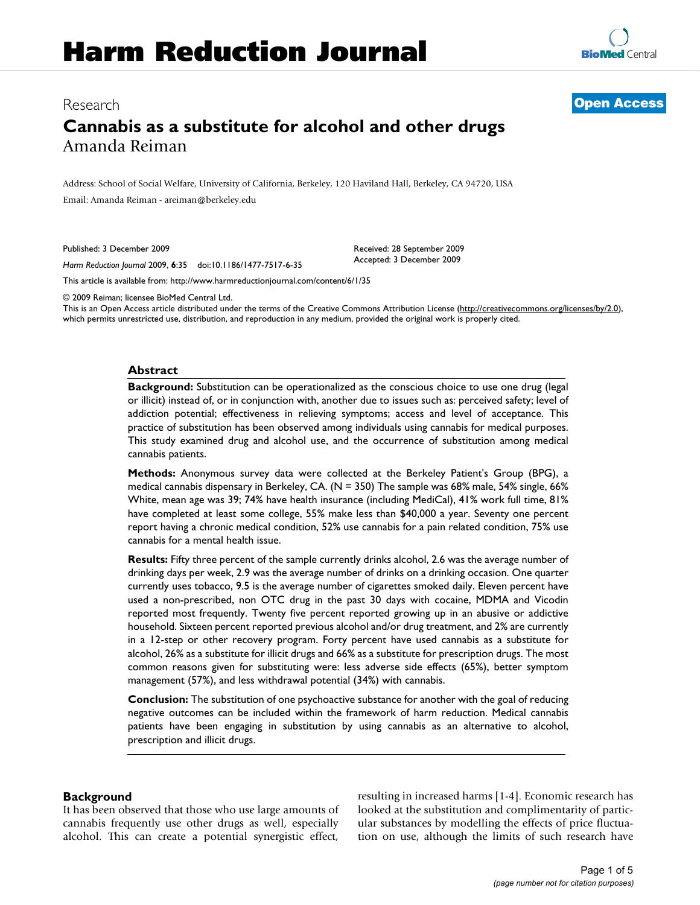# Research **[Open Access](http://www.biomedcentral.com/info/about/charter/)**

# **Cannabis as a substitute for alcohol and other drugs** Amanda Reiman

Address: School of Social Welfare, University of California, Berkeley, 120 Haviland Hall, Berkeley, CA 94720, USA Email: Amanda Reiman - areiman@berkeley.edu

Published: 3 December 2009

*Harm Reduction Journal* 2009, **6**:35 doi:10.1186/1477-7517-6-35

[This article is available from: http://www.harmreductionjournal.com/content/6/1/35](http://www.harmreductionjournal.com/content/6/1/35)

© 2009 Reiman; licensee BioMed Central Ltd.

This is an Open Access article distributed under the terms of the Creative Commons Attribution License [\(http://creativecommons.org/licenses/by/2.0\)](http://creativecommons.org/licenses/by/2.0), which permits unrestricted use, distribution, and reproduction in any medium, provided the original work is properly cited.

Received: 28 September 2009 Accepted: 3 December 2009

#### **Abstract**

**Background:** Substitution can be operationalized as the conscious choice to use one drug (legal or illicit) instead of, or in conjunction with, another due to issues such as: perceived safety; level of addiction potential; effectiveness in relieving symptoms; access and level of acceptance. This practice of substitution has been observed among individuals using cannabis for medical purposes. This study examined drug and alcohol use, and the occurrence of substitution among medical cannabis patients.

**Methods:** Anonymous survey data were collected at the Berkeley Patient's Group (BPG), a medical cannabis dispensary in Berkeley, CA. (N = 350) The sample was 68% male, 54% single, 66% White, mean age was 39; 74% have health insurance (including MediCal), 41% work full time, 81% have completed at least some college, 55% make less than \$40,000 a year. Seventy one percent report having a chronic medical condition, 52% use cannabis for a pain related condition, 75% use cannabis for a mental health issue.

**Results:** Fifty three percent of the sample currently drinks alcohol, 2.6 was the average number of drinking days per week, 2.9 was the average number of drinks on a drinking occasion. One quarter currently uses tobacco, 9.5 is the average number of cigarettes smoked daily. Eleven percent have used a non-prescribed, non OTC drug in the past 30 days with cocaine, MDMA and Vicodin reported most frequently. Twenty five percent reported growing up in an abusive or addictive household. Sixteen percent reported previous alcohol and/or drug treatment, and 2% are currently in a 12-step or other recovery program. Forty percent have used cannabis as a substitute for alcohol, 26% as a substitute for illicit drugs and 66% as a substitute for prescription drugs. The most common reasons given for substituting were: less adverse side effects (65%), better symptom management (57%), and less withdrawal potential (34%) with cannabis.

**Conclusion:** The substitution of one psychoactive substance for another with the goal of reducing negative outcomes can be included within the framework of harm reduction. Medical cannabis patients have been engaging in substitution by using cannabis as an alternative to alcohol, prescription and illicit drugs.

#### **Background**

It has been observed that those who use large amounts of cannabis frequently use other drugs as well, especially alcohol. This can create a potential synergistic effect, resulting in increased harms [1-4]. Economic research has looked at the substitution and complimentarity of particular substances by modelling the effects of price fluctuation on use, although the limits of such research have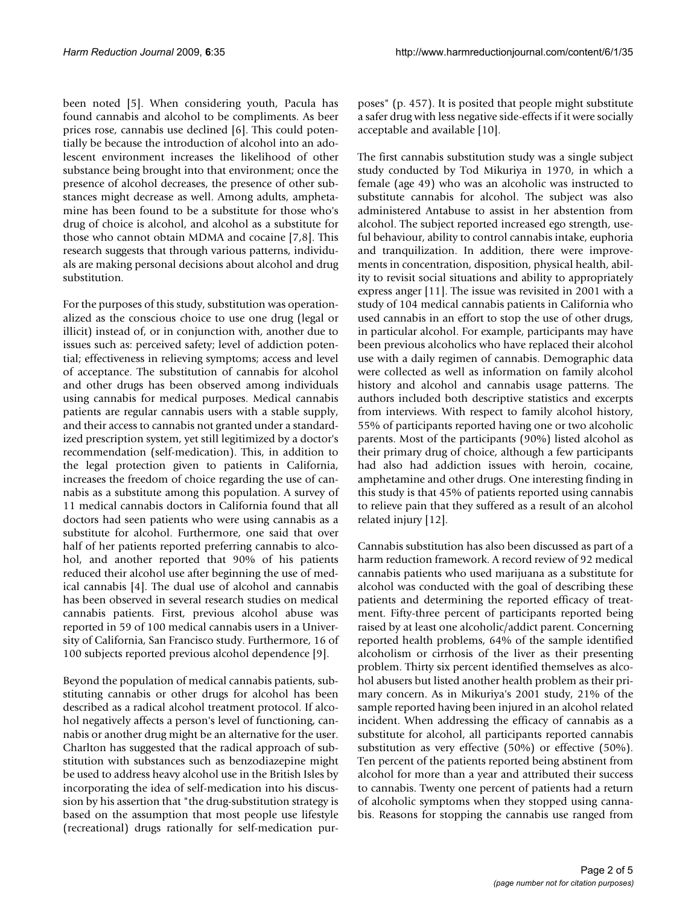been noted [5]. When considering youth, Pacula has found cannabis and alcohol to be compliments. As beer prices rose, cannabis use declined [6]. This could potentially be because the introduction of alcohol into an adolescent environment increases the likelihood of other substance being brought into that environment; once the presence of alcohol decreases, the presence of other substances might decrease as well. Among adults, amphetamine has been found to be a substitute for those who's drug of choice is alcohol, and alcohol as a substitute for those who cannot obtain MDMA and cocaine [7,8]. This research suggests that through various patterns, individuals are making personal decisions about alcohol and drug substitution.

For the purposes of this study, substitution was operationalized as the conscious choice to use one drug (legal or illicit) instead of, or in conjunction with, another due to issues such as: perceived safety; level of addiction potential; effectiveness in relieving symptoms; access and level of acceptance. The substitution of cannabis for alcohol and other drugs has been observed among individuals using cannabis for medical purposes. Medical cannabis patients are regular cannabis users with a stable supply, and their access to cannabis not granted under a standardized prescription system, yet still legitimized by a doctor's recommendation (self-medication). This, in addition to the legal protection given to patients in California, increases the freedom of choice regarding the use of cannabis as a substitute among this population. A survey of 11 medical cannabis doctors in California found that all doctors had seen patients who were using cannabis as a substitute for alcohol. Furthermore, one said that over half of her patients reported preferring cannabis to alcohol, and another reported that 90% of his patients reduced their alcohol use after beginning the use of medical cannabis [4]. The dual use of alcohol and cannabis has been observed in several research studies on medical cannabis patients. First, previous alcohol abuse was reported in 59 of 100 medical cannabis users in a University of California, San Francisco study. Furthermore, 16 of 100 subjects reported previous alcohol dependence [9].

Beyond the population of medical cannabis patients, substituting cannabis or other drugs for alcohol has been described as a radical alcohol treatment protocol. If alcohol negatively affects a person's level of functioning, cannabis or another drug might be an alternative for the user. Charlton has suggested that the radical approach of substitution with substances such as benzodiazepine might be used to address heavy alcohol use in the British Isles by incorporating the idea of self-medication into his discussion by his assertion that "the drug-substitution strategy is based on the assumption that most people use lifestyle (recreational) drugs rationally for self-medication purposes" (p. 457). It is posited that people might substitute a safer drug with less negative side-effects if it were socially acceptable and available [10].

The first cannabis substitution study was a single subject study conducted by Tod Mikuriya in 1970, in which a female (age 49) who was an alcoholic was instructed to substitute cannabis for alcohol. The subject was also administered Antabuse to assist in her abstention from alcohol. The subject reported increased ego strength, useful behaviour, ability to control cannabis intake, euphoria and tranquilization. In addition, there were improvements in concentration, disposition, physical health, ability to revisit social situations and ability to appropriately express anger [11]. The issue was revisited in 2001 with a study of 104 medical cannabis patients in California who used cannabis in an effort to stop the use of other drugs, in particular alcohol. For example, participants may have been previous alcoholics who have replaced their alcohol use with a daily regimen of cannabis. Demographic data were collected as well as information on family alcohol history and alcohol and cannabis usage patterns. The authors included both descriptive statistics and excerpts from interviews. With respect to family alcohol history, 55% of participants reported having one or two alcoholic parents. Most of the participants (90%) listed alcohol as their primary drug of choice, although a few participants had also had addiction issues with heroin, cocaine, amphetamine and other drugs. One interesting finding in this study is that 45% of patients reported using cannabis to relieve pain that they suffered as a result of an alcohol related injury [12].

Cannabis substitution has also been discussed as part of a harm reduction framework. A record review of 92 medical cannabis patients who used marijuana as a substitute for alcohol was conducted with the goal of describing these patients and determining the reported efficacy of treatment. Fifty-three percent of participants reported being raised by at least one alcoholic/addict parent. Concerning reported health problems, 64% of the sample identified alcoholism or cirrhosis of the liver as their presenting problem. Thirty six percent identified themselves as alcohol abusers but listed another health problem as their primary concern. As in Mikuriya's 2001 study, 21% of the sample reported having been injured in an alcohol related incident. When addressing the efficacy of cannabis as a substitute for alcohol, all participants reported cannabis substitution as very effective (50%) or effective (50%). Ten percent of the patients reported being abstinent from alcohol for more than a year and attributed their success to cannabis. Twenty one percent of patients had a return of alcoholic symptoms when they stopped using cannabis. Reasons for stopping the cannabis use ranged from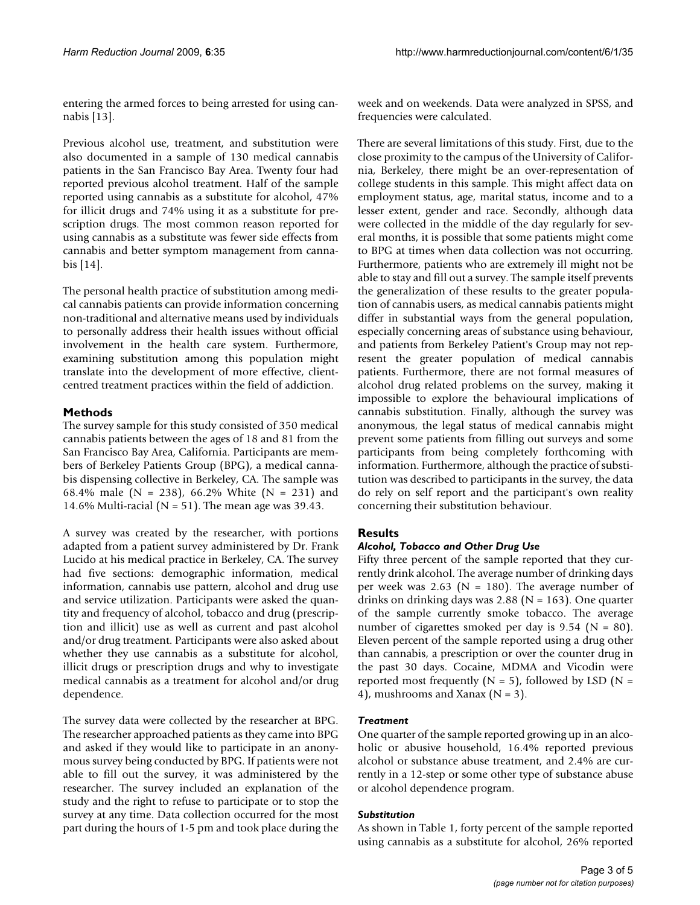entering the armed forces to being arrested for using cannabis [13].

Previous alcohol use, treatment, and substitution were also documented in a sample of 130 medical cannabis patients in the San Francisco Bay Area. Twenty four had reported previous alcohol treatment. Half of the sample reported using cannabis as a substitute for alcohol, 47% for illicit drugs and 74% using it as a substitute for prescription drugs. The most common reason reported for using cannabis as a substitute was fewer side effects from cannabis and better symptom management from cannabis [14].

The personal health practice of substitution among medical cannabis patients can provide information concerning non-traditional and alternative means used by individuals to personally address their health issues without official involvement in the health care system. Furthermore, examining substitution among this population might translate into the development of more effective, clientcentred treatment practices within the field of addiction.

## **Methods**

The survey sample for this study consisted of 350 medical cannabis patients between the ages of 18 and 81 from the San Francisco Bay Area, California. Participants are members of Berkeley Patients Group (BPG), a medical cannabis dispensing collective in Berkeley, CA. The sample was 68.4% male (N = 238), 66.2% White (N = 231) and 14.6% Multi-racial ( $N = 51$ ). The mean age was 39.43.

A survey was created by the researcher, with portions adapted from a patient survey administered by Dr. Frank Lucido at his medical practice in Berkeley, CA. The survey had five sections: demographic information, medical information, cannabis use pattern, alcohol and drug use and service utilization. Participants were asked the quantity and frequency of alcohol, tobacco and drug (prescription and illicit) use as well as current and past alcohol and/or drug treatment. Participants were also asked about whether they use cannabis as a substitute for alcohol, illicit drugs or prescription drugs and why to investigate medical cannabis as a treatment for alcohol and/or drug dependence.

The survey data were collected by the researcher at BPG. The researcher approached patients as they came into BPG and asked if they would like to participate in an anonymous survey being conducted by BPG. If patients were not able to fill out the survey, it was administered by the researcher. The survey included an explanation of the study and the right to refuse to participate or to stop the survey at any time. Data collection occurred for the most part during the hours of 1-5 pm and took place during the week and on weekends. Data were analyzed in SPSS, and frequencies were calculated.

There are several limitations of this study. First, due to the close proximity to the campus of the University of California, Berkeley, there might be an over-representation of college students in this sample. This might affect data on employment status, age, marital status, income and to a lesser extent, gender and race. Secondly, although data were collected in the middle of the day regularly for several months, it is possible that some patients might come to BPG at times when data collection was not occurring. Furthermore, patients who are extremely ill might not be able to stay and fill out a survey. The sample itself prevents the generalization of these results to the greater population of cannabis users, as medical cannabis patients might differ in substantial ways from the general population, especially concerning areas of substance using behaviour, and patients from Berkeley Patient's Group may not represent the greater population of medical cannabis patients. Furthermore, there are not formal measures of alcohol drug related problems on the survey, making it impossible to explore the behavioural implications of cannabis substitution. Finally, although the survey was anonymous, the legal status of medical cannabis might prevent some patients from filling out surveys and some participants from being completely forthcoming with information. Furthermore, although the practice of substitution was described to participants in the survey, the data do rely on self report and the participant's own reality concerning their substitution behaviour.

## **Results**

## *Alcohol, Tobacco and Other Drug Use*

Fifty three percent of the sample reported that they currently drink alcohol. The average number of drinking days per week was  $2.63$  (N = 180). The average number of drinks on drinking days was  $2.88$  (N = 163). One quarter of the sample currently smoke tobacco. The average number of cigarettes smoked per day is  $9.54$  (N = 80). Eleven percent of the sample reported using a drug other than cannabis, a prescription or over the counter drug in the past 30 days. Cocaine, MDMA and Vicodin were reported most frequently  $(N = 5)$ , followed by LSD  $(N = 5)$ 4), mushrooms and Xanax (N = 3).

## *Treatment*

One quarter of the sample reported growing up in an alcoholic or abusive household, 16.4% reported previous alcohol or substance abuse treatment, and 2.4% are currently in a 12-step or some other type of substance abuse or alcohol dependence program.

#### *Substitution*

As shown in Table 1, forty percent of the sample reported using cannabis as a substitute for alcohol, 26% reported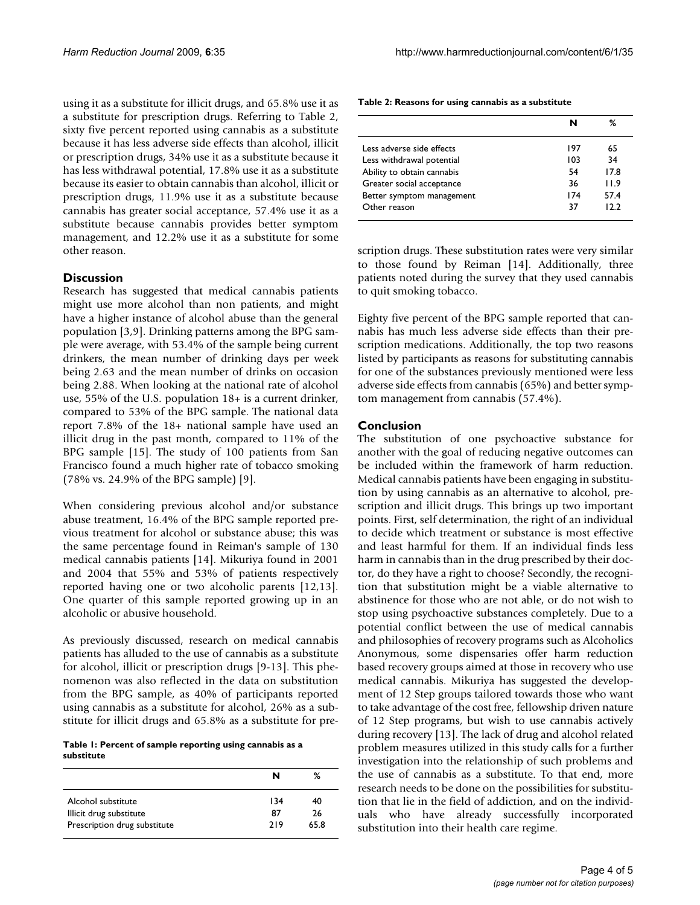using it as a substitute for illicit drugs, and 65.8% use it as a substitute for prescription drugs. Referring to Table 2, sixty five percent reported using cannabis as a substitute because it has less adverse side effects than alcohol, illicit or prescription drugs, 34% use it as a substitute because it has less withdrawal potential, 17.8% use it as a substitute because its easier to obtain cannabis than alcohol, illicit or prescription drugs, 11.9% use it as a substitute because cannabis has greater social acceptance, 57.4% use it as a substitute because cannabis provides better symptom management, and 12.2% use it as a substitute for some other reason.

## **Discussion**

Research has suggested that medical cannabis patients might use more alcohol than non patients, and might have a higher instance of alcohol abuse than the general population [3,9]. Drinking patterns among the BPG sample were average, with 53.4% of the sample being current drinkers, the mean number of drinking days per week being 2.63 and the mean number of drinks on occasion being 2.88. When looking at the national rate of alcohol use, 55% of the U.S. population 18+ is a current drinker, compared to 53% of the BPG sample. The national data report 7.8% of the 18+ national sample have used an illicit drug in the past month, compared to 11% of the BPG sample [15]. The study of 100 patients from San Francisco found a much higher rate of tobacco smoking (78% vs. 24.9% of the BPG sample) [9].

When considering previous alcohol and/or substance abuse treatment, 16.4% of the BPG sample reported previous treatment for alcohol or substance abuse; this was the same percentage found in Reiman's sample of 130 medical cannabis patients [14]. Mikuriya found in 2001 and 2004 that 55% and 53% of patients respectively reported having one or two alcoholic parents [12,13]. One quarter of this sample reported growing up in an alcoholic or abusive household.

As previously discussed, research on medical cannabis patients has alluded to the use of cannabis as a substitute for alcohol, illicit or prescription drugs [9-13]. This phenomenon was also reflected in the data on substitution from the BPG sample, as 40% of participants reported using cannabis as a substitute for alcohol, 26% as a substitute for illicit drugs and 65.8% as a substitute for pre-

**Table 1: Percent of sample reporting using cannabis as a substitute**

|                              | N   | ℅    |
|------------------------------|-----|------|
| Alcohol substitute           | 134 | 40   |
| Illicit drug substitute      | 87  | 26   |
| Prescription drug substitute | 719 | 65.8 |

| Table 2: Reasons for using cannabis as a substitute |  |  |  |  |
|-----------------------------------------------------|--|--|--|--|
|-----------------------------------------------------|--|--|--|--|

|                            | N   | ℅    |
|----------------------------|-----|------|
| Less adverse side effects  | 197 | 65   |
| Less withdrawal potential  | 103 | 34   |
| Ability to obtain cannabis | 54  | 17.8 |
| Greater social acceptance  | 36  | 11.9 |
| Better symptom management  | 174 | 57.4 |
| Other reason               | 37  | 122  |

scription drugs. These substitution rates were very similar to those found by Reiman [14]. Additionally, three patients noted during the survey that they used cannabis to quit smoking tobacco.

Eighty five percent of the BPG sample reported that cannabis has much less adverse side effects than their prescription medications. Additionally, the top two reasons listed by participants as reasons for substituting cannabis for one of the substances previously mentioned were less adverse side effects from cannabis (65%) and better symptom management from cannabis (57.4%).

## **Conclusion**

The substitution of one psychoactive substance for another with the goal of reducing negative outcomes can be included within the framework of harm reduction. Medical cannabis patients have been engaging in substitution by using cannabis as an alternative to alcohol, prescription and illicit drugs. This brings up two important points. First, self determination, the right of an individual to decide which treatment or substance is most effective and least harmful for them. If an individual finds less harm in cannabis than in the drug prescribed by their doctor, do they have a right to choose? Secondly, the recognition that substitution might be a viable alternative to abstinence for those who are not able, or do not wish to stop using psychoactive substances completely. Due to a potential conflict between the use of medical cannabis and philosophies of recovery programs such as Alcoholics Anonymous, some dispensaries offer harm reduction based recovery groups aimed at those in recovery who use medical cannabis. Mikuriya has suggested the development of 12 Step groups tailored towards those who want to take advantage of the cost free, fellowship driven nature of 12 Step programs, but wish to use cannabis actively during recovery [13]. The lack of drug and alcohol related problem measures utilized in this study calls for a further investigation into the relationship of such problems and the use of cannabis as a substitute. To that end, more research needs to be done on the possibilities for substitution that lie in the field of addiction, and on the individuals who have already successfully incorporated substitution into their health care regime.